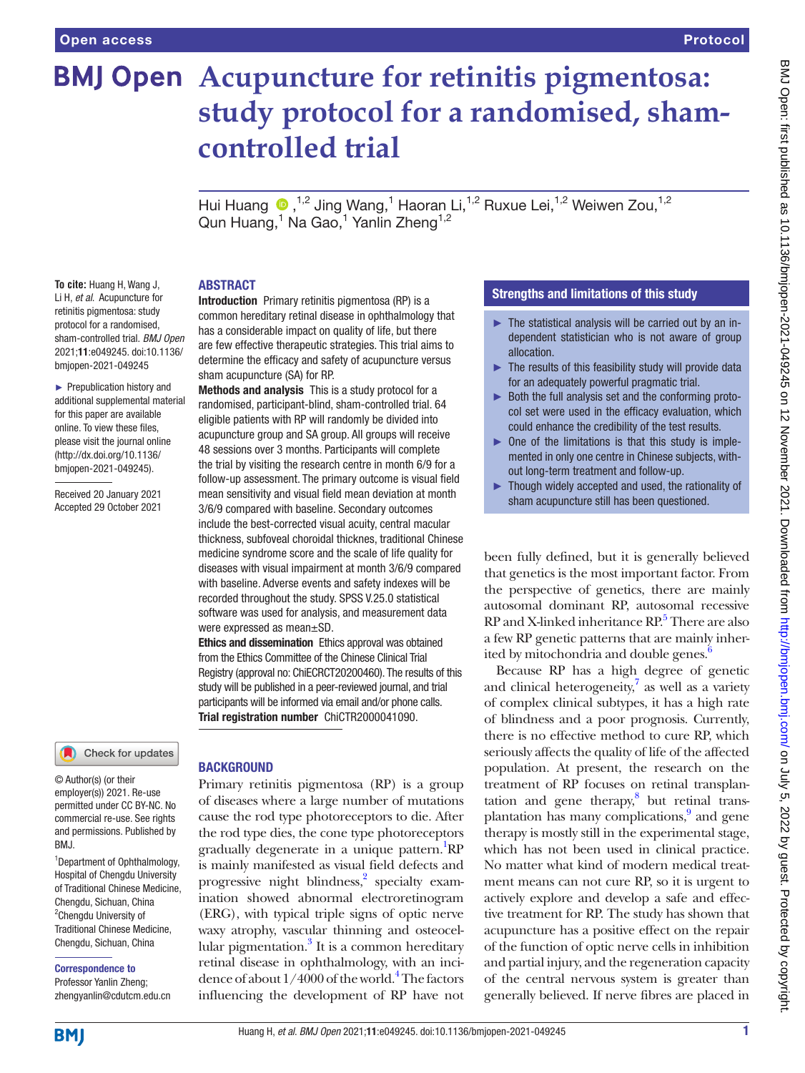# **BMJ Open** Acupuncture for retinitis pigmentosa: **study protocol for a randomised, shamcontrolled trial**

Hui Huang  $\bullet$ ,<sup>1,2</sup> Jing Wang,<sup>1</sup> Haoran Li,<sup>1,2</sup> Ruxue Lei,<sup>1,2</sup> Weiwen Zou,<sup>1,2</sup> Qun Huang,<sup>1</sup> Na Gao,<sup>1</sup> Yanlin Zheng<sup>1,2</sup>

### **To cite:** Huang H, Wang J, Li H, *et al*. Acupuncture for retinitis pigmentosa: study protocol for a randomised, sham-controlled trial. *BMJ Open* 2021;11:e049245. doi:10.1136/

► Prepublication history and additional supplemental material for this paper are available online. To view these files, please visit the journal online [\(http://dx.doi.org/10.1136/](http://dx.doi.org/10.1136/bmjopen-2021-049245) [bmjopen-2021-049245](http://dx.doi.org/10.1136/bmjopen-2021-049245)).

bmjopen-2021-049245

Received 20 January 2021 Accepted 29 October 2021

### Check for updates

© Author(s) (or their employer(s)) 2021. Re-use permitted under CC BY-NC. No commercial re-use. See rights and permissions. Published by RM<sub>J</sub>

<sup>1</sup>Department of Ophthalmology, Hospital of Chengdu University of Traditional Chinese Medicine, Chengdu, Sichuan, China <sup>2</sup> Chengdu University of Traditional Chinese Medicine, Chengdu, Sichuan, China

### Correspondence to

Professor Yanlin Zheng; zhengyanlin@cdutcm.edu.cn

### ABSTRACT

Introduction Primary retinitis pigmentosa (RP) is a common hereditary retinal disease in ophthalmology that has a considerable impact on quality of life, but there are few effective therapeutic strategies. This trial aims to determine the efficacy and safety of acupuncture versus sham acupuncture (SA) for RP.

Methods and analysis This is a study protocol for a randomised, participant-blind, sham-controlled trial. 64 eligible patients with RP will randomly be divided into acupuncture group and SA group. All groups will receive 48 sessions over 3 months. Participants will complete the trial by visiting the research centre in month 6/9 for a follow-up assessment. The primary outcome is visual field mean sensitivity and visual field mean deviation at month 3/6/9 compared with baseline. Secondary outcomes include the best-corrected visual acuity, central macular thickness, subfoveal choroidal thicknes, traditional Chinese medicine syndrome score and the scale of life quality for diseases with visual impairment at month 3/6/9 compared with baseline. Adverse events and safety indexes will be recorded throughout the study. SPSS V.25.0 statistical software was used for analysis, and measurement data were expressed as mean±SD.

Ethics and dissemination Ethics approval was obtained from the Ethics Committee of the Chinese Clinical Trial Registry (approval no: ChiECRCT20200460). The results of this study will be published in a peer-reviewed journal, and trial participants will be informed via email and/or phone calls. Trial registration number ChiCTR2000041090.

### **BACKGROUND**

Primary retinitis pigmentosa (RP) is a group of diseases where a large number of mutations cause the rod type photoreceptors to die. After the rod type dies, the cone type photoreceptors gradually degenerate in a unique pattern.<sup>1</sup>RP is mainly manifested as visual field defects and progressive night blindness,<sup>[2](#page-5-1)</sup> specialty examination showed abnormal electroretinogram (ERG), with typical triple signs of optic nerve waxy atrophy, vascular thinning and osteocel-lular pigmentation.<sup>[3](#page-5-2)</sup> It is a common hereditary retinal disease in ophthalmology, with an incidence of about  $1/4000$  of the world.<sup>4</sup> The factors influencing the development of RP have not

### Strengths and limitations of this study

- $\blacktriangleright$  The statistical analysis will be carried out by an independent statistician who is not aware of group allocation.
- $\blacktriangleright$  The results of this feasibility study will provide data for an adequately powerful pragmatic trial.
- ► Both the full analysis set and the conforming protocol set were used in the efficacy evaluation, which could enhance the credibility of the test results.
- ► One of the limitations is that this study is implemented in only one centre in Chinese subjects, without long-term treatment and follow-up.
- ► Though widely accepted and used, the rationality of sham acupuncture still has been questioned.

been fully defined, but it is generally believed that genetics is the most important factor. From the perspective of genetics, there are mainly autosomal dominant RP, autosomal recessive RP and X-linked inheritance RP.<sup>[5](#page-5-4)</sup> There are also a few RP genetic patterns that are mainly inherited by mitochondria and double genes.<sup>6</sup>

Because RP has a high degree of genetic and clinical heterogeneity, $7$  as well as a variety of complex clinical subtypes, it has a high rate of blindness and a poor prognosis. Currently, there is no effective method to cure RP, which seriously affects the quality of life of the affected population. At present, the research on the treatment of RP focuses on retinal transplantation and gene therapy, $8$  but retinal transplantation has many complications,<sup>9</sup> and gene therapy is mostly still in the experimental stage, which has not been used in clinical practice. No matter what kind of modern medical treatment means can not cure RP, so it is urgent to actively explore and develop a safe and effective treatment for RP. The study has shown that acupuncture has a positive effect on the repair of the function of optic nerve cells in inhibition and partial injury, and the regeneration capacity of the central nervous system is greater than generally believed. If nerve fibres are placed in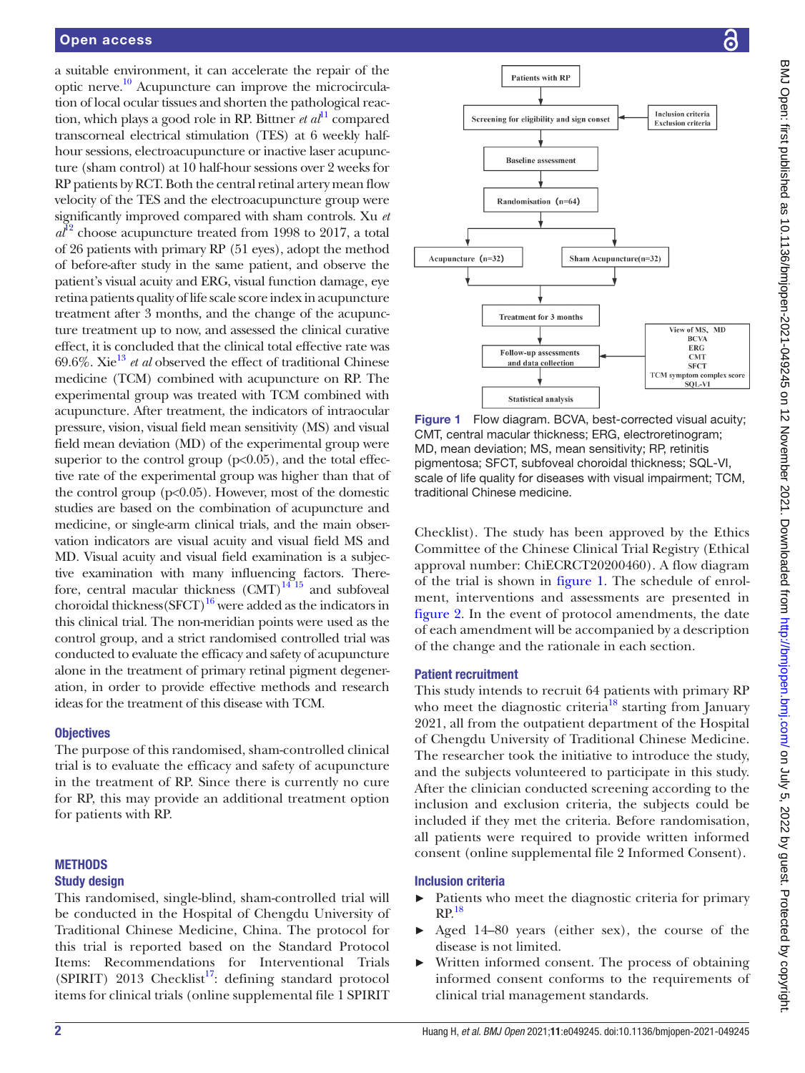a suitable environment, it can accelerate the repair of the optic nerve[.10](#page-6-2) Acupuncture can improve the microcirculation of local ocular tissues and shorten the pathological reaction, which plays a good role in RP. Bittner *et al*<sup>[11](#page-6-3)</sup> compared transcorneal electrical stimulation (TES) at 6 weekly halfhour sessions, electroacupuncture or inactive laser acupuncture (sham control) at 10 half-hour sessions over 2 weeks for RP patients by RCT. Both the central retinal artery mean flow velocity of the TES and the electroacupuncture group were significantly improved compared with sham controls. Xu *et*   $a^{12}$  $a^{12}$  $a^{12}$  choose acupuncture treated from 1998 to 2017, a total of 26 patients with primary RP (51 eyes), adopt the method of before-after study in the same patient, and observe the patient's visual acuity and ERG, visual function damage, eye retina patients quality of life scale score index in acupuncture treatment after 3 months, and the change of the acupuncture treatment up to now, and assessed the clinical curative effect, it is concluded that the clinical total effective rate was 69.6%. Xi[e13](#page-6-5) *et al* observed the effect of traditional Chinese medicine (TCM) combined with acupuncture on RP. The experimental group was treated with TCM combined with acupuncture. After treatment, the indicators of intraocular pressure, vision, visual field mean sensitivity (MS) and visual field mean deviation (MD) of the experimental group were superior to the control group  $(p<0.05)$ , and the total effective rate of the experimental group was higher than that of the control group  $(p<0.05)$ . However, most of the domestic studies are based on the combination of acupuncture and medicine, or single-arm clinical trials, and the main observation indicators are visual acuity and visual field MS and MD. Visual acuity and visual field examination is a subjective examination with many influencing factors. Therefore, central macular thickness  $(CMT)^{14/15}$  and subfoveal choroidal thickness  $(SFCT)^{16}$  were added as the indicators in this clinical trial. The non-meridian points were used as the control group, and a strict randomised controlled trial was conducted to evaluate the efficacy and safety of acupuncture alone in the treatment of primary retinal pigment degeneration, in order to provide effective methods and research ideas for the treatment of this disease with TCM.

### **Objectives**

The purpose of this randomised, sham-controlled clinical trial is to evaluate the efficacy and safety of acupuncture in the treatment of RP. Since there is currently no cure for RP, this may provide an additional treatment option for patients with RP.

### **METHODS** Study design

This randomised, single-blind, sham-controlled trial will be conducted in the Hospital of Chengdu University of Traditional Chinese Medicine, China. The protocol for this trial is reported based on the Standard Protocol Items: Recommendations for Interventional Trials (SPIRIT) 2013 Checklist<sup>17</sup>: defining standard protocol items for clinical trials ([online supplemental file 1](https://dx.doi.org/10.1136/bmjopen-2021-049245) SPIRIT



<span id="page-1-0"></span>Figure 1 Flow diagram. BCVA, best-corrected visual acuity; CMT, central macular thickness; ERG, electroretinogram; MD, mean deviation; MS, mean sensitivity; RP, retinitis pigmentosa; SFCT, subfoveal choroidal thickness; SQL-VI, scale of life quality for diseases with visual impairment; TCM, traditional Chinese medicine.

Checklist). The study has been approved by the Ethics Committee of the Chinese Clinical Trial Registry (Ethical approval number: ChiECRCT20200460). A flow diagram of the trial is shown in [figure](#page-1-0) 1. The schedule of enrolment, interventions and assessments are presented in [figure](#page-2-0) 2. In the event of protocol amendments, the date of each amendment will be accompanied by a description of the change and the rationale in each section.

### Patient recruitment

This study intends to recruit 64 patients with primary RP who meet the diagnostic criteria<sup>18</sup> starting from January 2021, all from the outpatient department of the Hospital of Chengdu University of Traditional Chinese Medicine. The researcher took the initiative to introduce the study, and the subjects volunteered to participate in this study. After the clinician conducted screening according to the inclusion and exclusion criteria, the subjects could be included if they met the criteria. Before randomisation, all patients were required to provide written informed consent ([online supplemental file 2](https://dx.doi.org/10.1136/bmjopen-2021-049245) Informed Consent).

### Inclusion criteria

- ► Patients who meet the diagnostic criteria for primary  $RP.<sup>18</sup>$
- ► Aged 14–80 years (either sex), the course of the disease is not limited.
- Written informed consent. The process of obtaining informed consent conforms to the requirements of clinical trial management standards.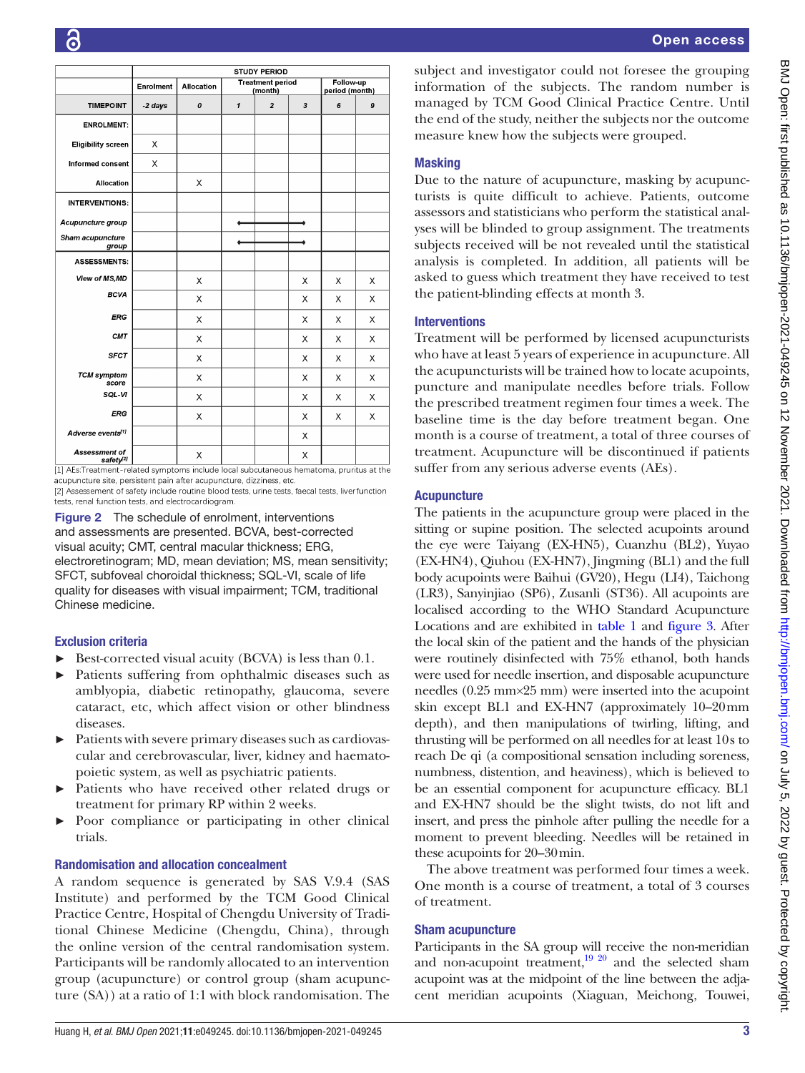|                                               | STUDY PERIOD |                   |                                    |                |                             |   |   |
|-----------------------------------------------|--------------|-------------------|------------------------------------|----------------|-----------------------------|---|---|
|                                               | Enrolment    | <b>Allocation</b> | <b>Treatment period</b><br>(month) |                | Follow-up<br>period (month) |   |   |
| <b>TIMEPOINT</b>                              | -2 days      | 0                 | $\mathbf{1}$                       | $\overline{2}$ | 3                           | 6 | 9 |
| <b>ENROLMENT:</b>                             |              |                   |                                    |                |                             |   |   |
| <b>Eligibility screen</b>                     | X            |                   |                                    |                |                             |   |   |
| <b>Informed consent</b>                       | X            |                   |                                    |                |                             |   |   |
| <b>Allocation</b>                             |              | X                 |                                    |                |                             |   |   |
| <b>INTERVENTIONS:</b>                         |              |                   |                                    |                |                             |   |   |
| Acupuncture group                             |              |                   |                                    |                |                             |   |   |
| Sham acupuncture<br>group                     |              |                   |                                    |                |                             |   |   |
| <b>ASSESSMENTS:</b>                           |              |                   |                                    |                |                             |   |   |
| View of MS, MD                                |              | X                 |                                    |                | X                           | X | X |
| <b>BCVA</b>                                   |              | X                 |                                    |                | X                           | X | X |
| <b>ERG</b>                                    |              | X                 |                                    |                | $\times$                    | X | X |
| CMT                                           |              | X                 |                                    |                | X                           | X | X |
| <b>SFCT</b>                                   |              | X                 |                                    |                | X                           | X | X |
| <b>TCM</b> symptom<br>score                   |              | X                 |                                    |                | X                           | X | X |
| SQL-VI                                        |              | X                 |                                    |                | X                           | X | X |
| ERG                                           |              | X                 |                                    |                | X                           | X | X |
| Adverse events <sup>[1]</sup>                 |              |                   |                                    |                | X                           |   |   |
| <b>Assessment of</b><br>safety <sup>[2]</sup> |              | X                 |                                    |                | Х                           |   |   |

<sup>[1]</sup> AEs:Treatment-related symptoms include local subcutaneous hematoma, pruritus at the acupuncture site, persistent pain after acupuncture, dizziness, etc. [2] Assessement of safety include routine blood tests, urine tests, faecal tests, liverfunction tests, renal function tests, and electrocardiogram.

<span id="page-2-0"></span>Figure 2 The schedule of enrolment, interventions and assessments are presented. BCVA, best-corrected visual acuity; CMT, central macular thickness; ERG, electroretinogram; MD, mean deviation; MS, mean sensitivity; SFCT, subfoveal choroidal thickness; SQL-VI, scale of life quality for diseases with visual impairment; TCM, traditional Chinese medicine.

### Exclusion criteria

- ► Best-corrected visual acuity (BCVA) is less than 0.1.
- ► Patients suffering from ophthalmic diseases such as amblyopia, diabetic retinopathy, glaucoma, severe cataract, etc, which affect vision or other blindness diseases.
- Patients with severe primary diseases such as cardiovascular and cerebrovascular, liver, kidney and haematopoietic system, as well as psychiatric patients.
- Patients who have received other related drugs or treatment for primary RP within 2 weeks.
- Poor compliance or participating in other clinical trials.

### Randomisation and allocation concealment

A random sequence is generated by SAS V.9.4 (SAS Institute) and performed by the TCM Good Clinical Practice Centre, Hospital of Chengdu University of Traditional Chinese Medicine (Chengdu, China), through the online version of the central randomisation system. Participants will be randomly allocated to an intervention group (acupuncture) or control group (sham acupuncture (SA)) at a ratio of 1:1 with block randomisation. The

subject and investigator could not foresee the grouping information of the subjects. The random number is managed by TCM Good Clinical Practice Centre. Until the end of the study, neither the subjects nor the outcome measure knew how the subjects were grouped.

### Masking

Due to the nature of acupuncture, masking by acupuncturists is quite difficult to achieve. Patients, outcome assessors and statisticians who perform the statistical analyses will be blinded to group assignment. The treatments subjects received will be not revealed until the statistical analysis is completed. In addition, all patients will be asked to guess which treatment they have received to test the patient-blinding effects at month 3.

### Interventions

Treatment will be performed by licensed acupuncturists who have at least 5 years of experience in acupuncture. All the acupuncturists will be trained how to locate acupoints, puncture and manipulate needles before trials. Follow the prescribed treatment regimen four times a week. The baseline time is the day before treatment began. One month is a course of treatment, a total of three courses of treatment. Acupuncture will be discontinued if patients suffer from any serious adverse events (AEs).

### **Acupuncture**

The patients in the acupuncture group were placed in the sitting or supine position. The selected acupoints around the eye were Taiyang (EX-HN5), Cuanzhu (BL2), Yuyao (EX-HN4), Qiuhou (EX-HN7), Jingming (BL1) and the full body acupoints were Baihui (GV20), Hegu (LI4), Taichong (LR3), Sanyinjiao (SP6), Zusanli (ST36). All acupoints are localised according to the WHO Standard Acupuncture Locations and are exhibited in [table](#page-3-0) 1 and [figure](#page-3-1) 3. After the local skin of the patient and the hands of the physician were routinely disinfected with 75% ethanol, both hands were used for needle insertion, and disposable acupuncture needles (0.25 mm×25 mm) were inserted into the acupoint skin except BL1 and EX-HN7 (approximately 10–20mm depth), and then manipulations of twirling, lifting, and thrusting will be performed on all needles for at least 10s to reach De qi (a compositional sensation including soreness, numbness, distention, and heaviness), which is believed to be an essential component for acupuncture efficacy. BL1 and EX-HN7 should be the slight twists, do not lift and insert, and press the pinhole after pulling the needle for a moment to prevent bleeding. Needles will be retained in these acupoints for 20–30min.

The above treatment was performed four times a week. One month is a course of treatment, a total of 3 courses of treatment.

### Sham acupuncture

Participants in the SA group will receive the non-meridian and non-acupoint treatment, $19^{20}$  and the selected sham acupoint was at the midpoint of the line between the adjacent meridian acupoints (Xiaguan, Meichong, Touwei,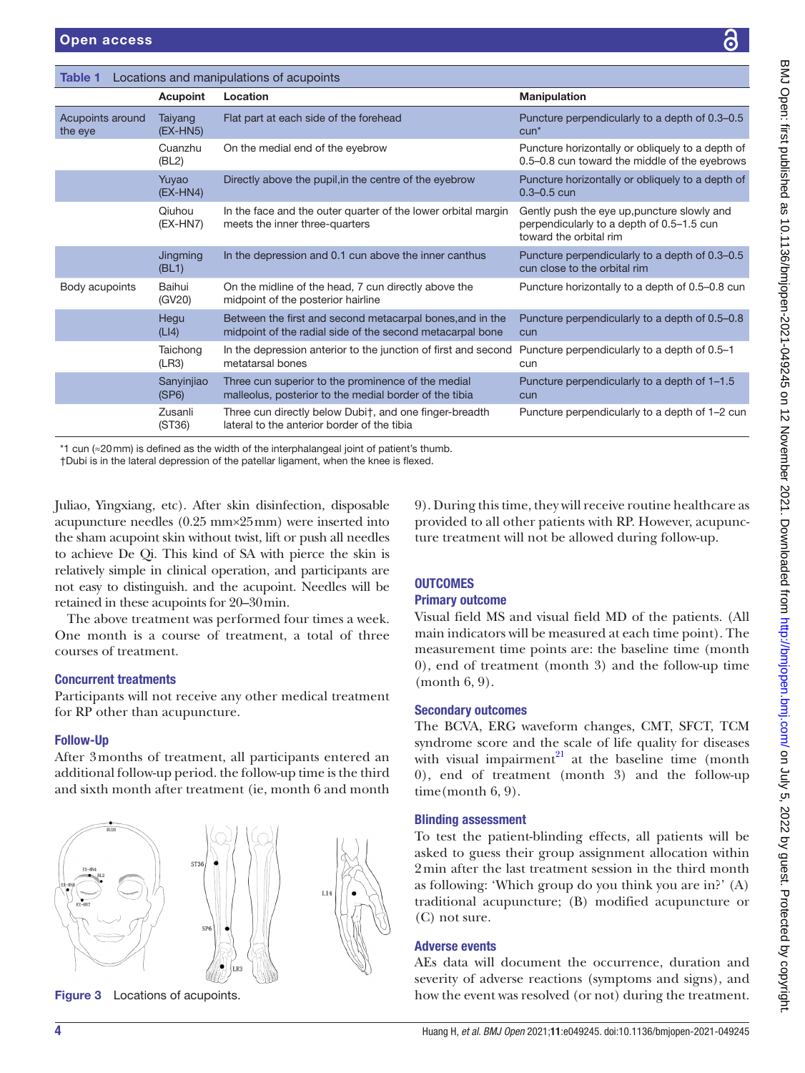<span id="page-3-0"></span>Table 1 Locations and manipulations

|                             | Acupoint              | Location                                                                                                                                                                                   | <b>Manipulation</b>                                                                                                |  |  |
|-----------------------------|-----------------------|--------------------------------------------------------------------------------------------------------------------------------------------------------------------------------------------|--------------------------------------------------------------------------------------------------------------------|--|--|
| Acupoints around<br>the eye | Taiyang<br>$(EX-HN5)$ | Flat part at each side of the forehead                                                                                                                                                     | Puncture perpendicularly to a depth of 0.3-0.5<br>$cun*$                                                           |  |  |
|                             | Cuanzhu<br>(BL2)      | On the medial end of the eyebrow                                                                                                                                                           | Puncture horizontally or obliquely to a depth of<br>0.5-0.8 cun toward the middle of the eyebrows                  |  |  |
|                             | Yuyao<br>$(EX-HN4)$   | Directly above the pupil, in the centre of the eyebrow                                                                                                                                     | Puncture horizontally or obliquely to a depth of<br>$0.3 - 0.5$ cun                                                |  |  |
|                             | Qiuhou<br>$(EX-HN7)$  | In the face and the outer quarter of the lower orbital margin<br>meets the inner three-quarters                                                                                            | Gently push the eye up, puncture slowly and<br>perpendicularly to a depth of 0.5-1.5 cun<br>toward the orbital rim |  |  |
|                             | Jingming<br>(BL1)     | In the depression and 0.1 cun above the inner canthus                                                                                                                                      | Puncture perpendicularly to a depth of 0.3–0.5<br>cun close to the orbital rim                                     |  |  |
| Body acupoints              | Baihui<br>(GV20)      | On the midline of the head, 7 cun directly above the<br>midpoint of the posterior hairline                                                                                                 | Puncture horizontally to a depth of 0.5-0.8 cun                                                                    |  |  |
|                             | Hegu<br>(L 4)         | Between the first and second metacarpal bones, and in the<br>midpoint of the radial side of the second metacarpal bone                                                                     | Puncture perpendicularly to a depth of 0.5-0.8<br>cun                                                              |  |  |
|                             | Taichong<br>(LR3)     | In the depression anterior to the junction of first and second<br>metatarsal bones                                                                                                         | Puncture perpendicularly to a depth of 0.5-1<br>cun                                                                |  |  |
|                             | Sanyinjiao<br>(SP6)   | Three cun superior to the prominence of the medial<br>malleolus, posterior to the medial border of the tibia                                                                               | Puncture perpendicularly to a depth of 1-1.5<br>cun                                                                |  |  |
|                             | Zusanli<br>(ST36)     | Three cun directly below Dubit, and one finger-breadth<br>lateral to the anterior border of the tibia                                                                                      | Puncture perpendicularly to a depth of 1-2 cun                                                                     |  |  |
|                             |                       | *1 cun ( $\approx$ 20mm) is defined as the width of the interphalangeal joint of patient's thumb.<br>†Dubi is in the lateral depression of the patellar ligament, when the knee is flexed. |                                                                                                                    |  |  |
|                             |                       | uliao. Yingxiang, etc). After skin disinfection, disposable                                                                                                                                | 9). During this time, they will receive routine healthcare as                                                      |  |  |

Juliao, Yingxiang, etc). After s acupuncture needles (0.25 mm×25mm) were inserted into the sham acupoint skin without twist, lift or push all needles to achieve De Qi. This kind of SA with pierce the skin is relatively simple in clinical operation, and participants are not easy to distinguish. and the acupoint. Needles will be retained in these acupoints for 20–30min.

The above treatment was performed four times a week. One month is a course of treatment, a total of three courses of treatment.

### Concurrent treatments

Participants will not receive any other medical treatment for RP other than acupuncture.

### Follow-Up

After 3months of treatment, all participants entered an additional follow-up period. the follow-up time is the third and sixth month after treatment (ie, month 6 and month



<span id="page-3-1"></span>Figure 3 Locations of acupoints.

ng this time, they will receive routine healthcare as provided to all other patients with RP. However, acupuncture treatment will not be allowed during follow-up.

### **OUTCOMES**

### Primary outcome

Visual field MS and visual field MD of the patients. (All main indicators will be measured at each time point). The measurement time points are: the baseline time (month 0), end of treatment (month 3) and the follow-up time (month 6, 9).

### Secondary outcomes

The BCVA, ERG waveform changes, CMT, SFCT, TCM syndrome score and the scale of life quality for diseases with visual impairment $^{21}$  at the baseline time (month 0), end of treatment (month 3) and the follow-up time(month 6, 9).

### Blinding assessment

To test the patient-blinding effects, all patients will be asked to guess their group assignment allocation within 2min after the last treatment session in the third month as following: 'Which group do you think you are in?' (A) traditional acupuncture; (B) modified acupuncture or (C) not sure.

### Adverse events

AEs data will document the occurrence, duration and severity of adverse reactions (symptoms and signs), and how the event was resolved (or not) during the treatment.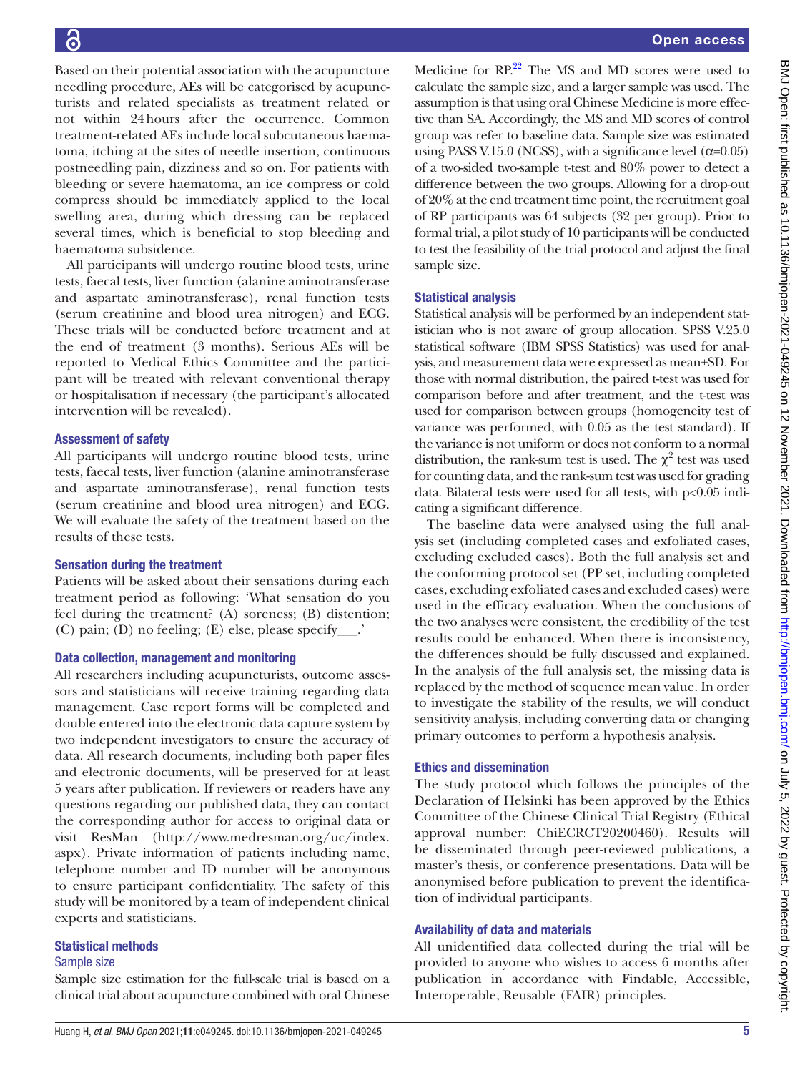Based on their potential association with the acupuncture needling procedure, AEs will be categorised by acupuncturists and related specialists as treatment related or not within 24hours after the occurrence. Common treatment-related AEs include local subcutaneous haematoma, itching at the sites of needle insertion, continuous postneedling pain, dizziness and so on. For patients with bleeding or severe haematoma, an ice compress or cold compress should be immediately applied to the local swelling area, during which dressing can be replaced several times, which is beneficial to stop bleeding and haematoma subsidence.

All participants will undergo routine blood tests, urine tests, faecal tests, liver function (alanine aminotransferase and aspartate aminotransferase), renal function tests (serum creatinine and blood urea nitrogen) and ECG. These trials will be conducted before treatment and at the end of treatment (3 months). Serious AEs will be reported to Medical Ethics Committee and the participant will be treated with relevant conventional therapy or hospitalisation if necessary (the participant's allocated intervention will be revealed).

### Assessment of safety

All participants will undergo routine blood tests, urine tests, faecal tests, liver function (alanine aminotransferase and aspartate aminotransferase), renal function tests (serum creatinine and blood urea nitrogen) and ECG. We will evaluate the safety of the treatment based on the results of these tests.

### Sensation during the treatment

Patients will be asked about their sensations during each treatment period as following: 'What sensation do you feel during the treatment? (A) soreness; (B) distention; (C) pain; (D) no feeling; (E) else, please specify\_\_\_.'

### Data collection, management and monitoring

All researchers including acupuncturists, outcome assessors and statisticians will receive training regarding data management. Case report forms will be completed and double entered into the electronic data capture system by two independent investigators to ensure the accuracy of data. All research documents, including both paper files and electronic documents, will be preserved for at least 5 years after publication. If reviewers or readers have any questions regarding our published data, they can contact the corresponding author for access to original data or visit ResMan ([http://www.medresman.org/uc/index.](http://www.medresman.org/uc/index.aspx) [aspx\)](http://www.medresman.org/uc/index.aspx). Private information of patients including name, telephone number and ID number will be anonymous to ensure participant confidentiality. The safety of this study will be monitored by a team of independent clinical experts and statisticians.

### Statistical methods

### Sample size

Sample size estimation for the full-scale trial is based on a clinical trial about acupuncture combined with oral Chinese

Medicine for  $RP^{22}$  $RP^{22}$  $RP^{22}$  The MS and MD scores were used to calculate the sample size, and a larger sample was used. The assumption is that using oral Chinese Medicine is more effective than SA. Accordingly, the MS and MD scores of control group was refer to baseline data. Sample size was estimated using PASS V.15.0 (NCSS), with a significance level  $(\alpha=0.05)$ of a two-sided two-sample t-test and 80% power to detect a difference between the two groups. Allowing for a drop-out of 20% at the end treatment time point, the recruitment goal of RP participants was 64 subjects (32 per group). Prior to formal trial, a pilot study of 10 participants will be conducted to test the feasibility of the trial protocol and adjust the final sample size.

### Statistical analysis

Statistical analysis will be performed by an independent statistician who is not aware of group allocation. SPSS V.25.0 statistical software (IBM SPSS Statistics) was used for analysis, and measurement data were expressed as mean±SD. For those with normal distribution, the paired t-test was used for comparison before and after treatment, and the t-test was used for comparison between groups (homogeneity test of variance was performed, with 0.05 as the test standard). If the variance is not uniform or does not conform to a normal distribution, the rank-sum test is used. The  $\chi^2$  test was used for counting data, and the rank-sum test was used for grading data. Bilateral tests were used for all tests, with p<0.05 indicating a significant difference.

The baseline data were analysed using the full analysis set (including completed cases and exfoliated cases, excluding excluded cases). Both the full analysis set and the conforming protocol set (PP set, including completed cases, excluding exfoliated cases and excluded cases) were used in the efficacy evaluation. When the conclusions of the two analyses were consistent, the credibility of the test results could be enhanced. When there is inconsistency, the differences should be fully discussed and explained. In the analysis of the full analysis set, the missing data is replaced by the method of sequence mean value. In order to investigate the stability of the results, we will conduct sensitivity analysis, including converting data or changing primary outcomes to perform a hypothesis analysis.

### Ethics and dissemination

The study protocol which follows the principles of the Declaration of Helsinki has been approved by the Ethics Committee of the Chinese Clinical Trial Registry (Ethical approval number: ChiECRCT20200460). Results will be disseminated through peer-reviewed publications, a master's thesis, or conference presentations. Data will be anonymised before publication to prevent the identification of individual participants.

### Availability of data and materials

All unidentified data collected during the trial will be provided to anyone who wishes to access 6 months after publication in accordance with Findable, Accessible, Interoperable, Reusable (FAIR) principles.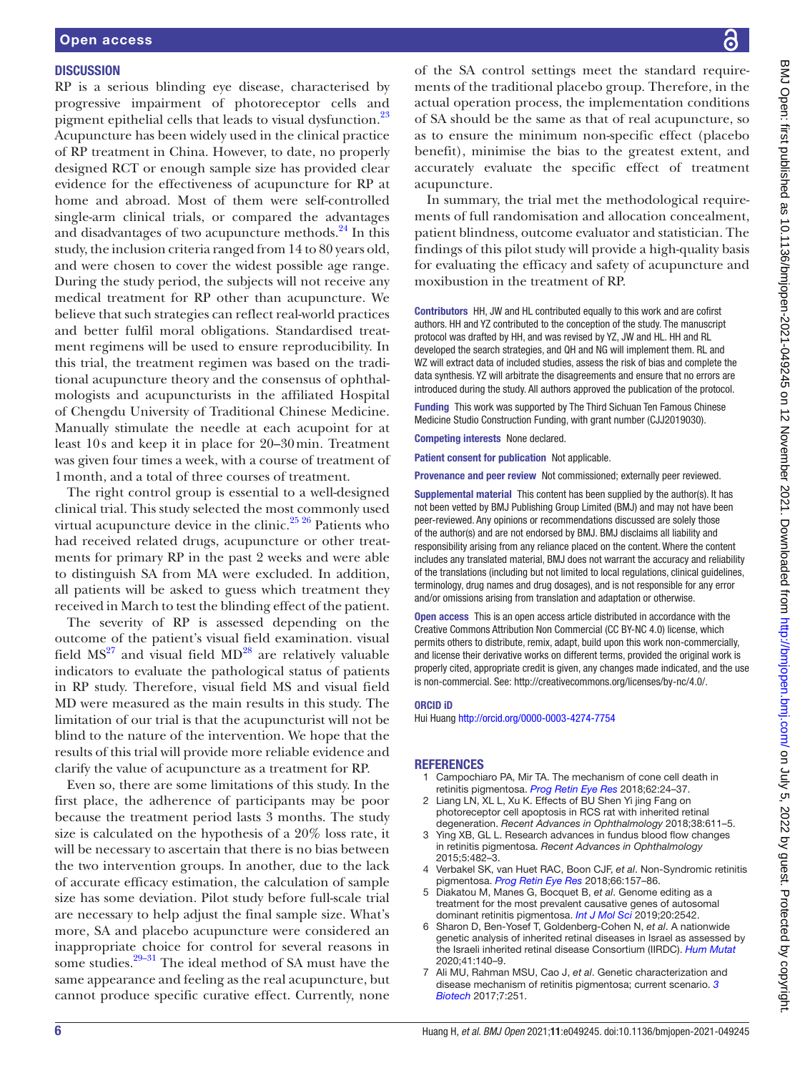### **DISCUSSION**

RP is a serious blinding eye disease, characterised by progressive impairment of photoreceptor cells and pigment epithelial cells that leads to visual dysfunction.<sup>[23](#page-6-13)</sup> Acupuncture has been widely used in the clinical practice of RP treatment in China. However, to date, no properly designed RCT or enough sample size has provided clear evidence for the effectiveness of acupuncture for RP at home and abroad. Most of them were self-controlled single-arm clinical trials, or compared the advantages and disadvantages of two acupuncture methods.<sup>24</sup> In this study, the inclusion criteria ranged from 14 to 80 years old, and were chosen to cover the widest possible age range. During the study period, the subjects will not receive any medical treatment for RP other than acupuncture. We believe that such strategies can reflect real-world practices and better fulfil moral obligations. Standardised treatment regimens will be used to ensure reproducibility. In this trial, the treatment regimen was based on the traditional acupuncture theory and the consensus of ophthalmologists and acupuncturists in the affiliated Hospital of Chengdu University of Traditional Chinese Medicine. Manually stimulate the needle at each acupoint for at least 10s and keep it in place for 20–30min. Treatment was given four times a week, with a course of treatment of 1month, and a total of three courses of treatment.

The right control group is essential to a well-designed clinical trial. This study selected the most commonly used virtual acupuncture device in the clinic.<sup>[25 26](#page-6-15)</sup> Patients who had received related drugs, acupuncture or other treatments for primary RP in the past 2 weeks and were able to distinguish SA from MA were excluded. In addition, all patients will be asked to guess which treatment they received in March to test the blinding effect of the patient.

The severity of RP is assessed depending on the outcome of the patient's visual field examination. visual field  $MS<sup>27</sup>$  $MS<sup>27</sup>$  $MS<sup>27</sup>$  and visual field  $MD<sup>28</sup>$  are relatively valuable indicators to evaluate the pathological status of patients in RP study. Therefore, visual field MS and visual field MD were measured as the main results in this study. The limitation of our trial is that the acupuncturist will not be blind to the nature of the intervention. We hope that the results of this trial will provide more reliable evidence and clarify the value of acupuncture as a treatment for RP.

Even so, there are some limitations of this study. In the first place, the adherence of participants may be poor because the treatment period lasts 3 months. The study size is calculated on the hypothesis of a 20% loss rate, it will be necessary to ascertain that there is no bias between the two intervention groups. In another, due to the lack of accurate efficacy estimation, the calculation of sample size has some deviation. Pilot study before full-scale trial are necessary to help adjust the final sample size. What's more, SA and placebo acupuncture were considered an inappropriate choice for control for several reasons in some studies. $29-31$  The ideal method of SA must have the same appearance and feeling as the real acupuncture, but cannot produce specific curative effect. Currently, none

of the SA control settings meet the standard requirements of the traditional placebo group. Therefore, in the actual operation process, the implementation conditions of SA should be the same as that of real acupuncture, so as to ensure the minimum non-specific effect (placebo benefit), minimise the bias to the greatest extent, and accurately evaluate the specific effect of treatment acupuncture.

In summary, the trial met the methodological requirements of full randomisation and allocation concealment, patient blindness, outcome evaluator and statistician. The findings of this pilot study will provide a high-quality basis for evaluating the efficacy and safety of acupuncture and moxibustion in the treatment of RP.

Contributors HH, JW and HL contributed equally to this work and are cofirst authors. HH and YZ contributed to the conception of the study. The manuscript protocol was drafted by HH, and was revised by YZ, JW and HL. HH and RL developed the search strategies, and QH and NG will implement them. RL and WZ will extract data of included studies, assess the risk of bias and complete the data synthesis. YZ will arbitrate the disagreements and ensure that no errors are introduced during the study. All authors approved the publication of the protocol.

Funding This work was supported by The Third Sichuan Ten Famous Chinese Medicine Studio Construction Funding, with grant number (CJJ2019030).

Competing interests None declared.

Patient consent for publication Not applicable.

Provenance and peer review Not commissioned; externally peer reviewed.

Supplemental material This content has been supplied by the author(s). It has not been vetted by BMJ Publishing Group Limited (BMJ) and may not have been peer-reviewed. Any opinions or recommendations discussed are solely those of the author(s) and are not endorsed by BMJ. BMJ disclaims all liability and responsibility arising from any reliance placed on the content. Where the content includes any translated material, BMJ does not warrant the accuracy and reliability of the translations (including but not limited to local regulations, clinical guidelines, terminology, drug names and drug dosages), and is not responsible for any error and/or omissions arising from translation and adaptation or otherwise.

Open access This is an open access article distributed in accordance with the Creative Commons Attribution Non Commercial (CC BY-NC 4.0) license, which permits others to distribute, remix, adapt, build upon this work non-commercially, and license their derivative works on different terms, provided the original work is properly cited, appropriate credit is given, any changes made indicated, and the use is non-commercial. See: [http://creativecommons.org/licenses/by-nc/4.0/.](http://creativecommons.org/licenses/by-nc/4.0/)

### ORCID iD

Hui Huang<http://orcid.org/0000-0003-4274-7754>

#### <span id="page-5-0"></span>REFERENCES

- 1 Campochiaro PA, Mir TA. The mechanism of cone cell death in retinitis pigmentosa. *[Prog Retin Eye Res](http://dx.doi.org/10.1016/j.preteyeres.2017.08.004)* 2018;62:24–37.
- <span id="page-5-1"></span>Liang LN, XL L, Xu K. Effects of BU Shen Yi jing Fang on photoreceptor cell apoptosis in RCS rat with inherited retinal degeneration. *Recent Advances in Ophthalmology* 2018;38:611–5.
- <span id="page-5-2"></span>3 Ying XB, GL L. Research advances in fundus blood flow changes in retinitis pigmentosa. *Recent Advances in Ophthalmology* 2015;5:482–3.
- <span id="page-5-3"></span>4 Verbakel SK, van Huet RAC, Boon CJF, *et al*. Non-Syndromic retinitis pigmentosa. *[Prog Retin Eye Res](http://dx.doi.org/10.1016/j.preteyeres.2018.03.005)* 2018;66:157–86.
- <span id="page-5-4"></span>5 Diakatou M, Manes G, Bocquet B, *et al*. Genome editing as a treatment for the most prevalent causative genes of autosomal dominant retinitis pigmentosa. *[Int J Mol Sci](http://dx.doi.org/10.3390/ijms20102542)* 2019;20:2542.
- <span id="page-5-5"></span>6 Sharon D, Ben-Yosef T, Goldenberg-Cohen N, *et al*. A nationwide genetic analysis of inherited retinal diseases in Israel as assessed by the Israeli inherited retinal disease Consortium (IIRDC). *[Hum Mutat](http://dx.doi.org/10.1002/humu.23903)* 2020;41:140–9.
- <span id="page-5-6"></span>7 Ali MU, Rahman MSU, Cao J, *et al*. Genetic characterization and disease mechanism of retinitis pigmentosa; current scenario. *[3](http://dx.doi.org/10.1007/s13205-017-0878-3)  [Biotech](http://dx.doi.org/10.1007/s13205-017-0878-3)* 2017;7:251.